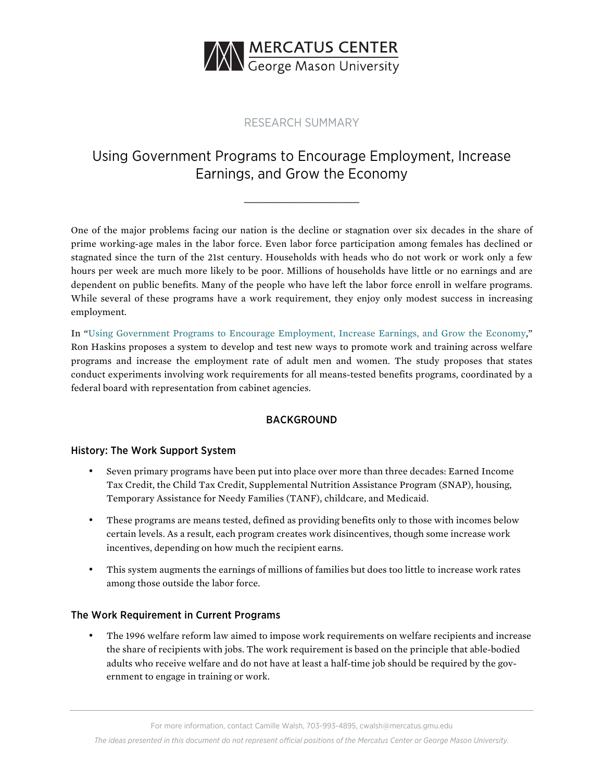

## RESEARCH SUMMARY

# Using Government Programs to Encourage Employment, Increase Earnings, and Grow the Economy

\_\_\_\_\_\_\_\_\_\_\_\_\_\_\_\_\_\_\_\_\_

One of the major problems facing our nation is the decline or stagnation over six decades in the share of prime working-age males in the labor force. Even labor force participation among females has declined or stagnated since the turn of the 21st century. Households with heads who do not work or work only a few hours per week are much more likely to be poor. Millions of households have little or no earnings and are dependent on public benefits. Many of the people who have left the labor force enroll in welfare programs. While several of these programs have a work requirement, they enjoy only modest success in increasing employment.

In ["Using Government Programs to Encourage Employment, Increase Earnings, and Grow the Economy,](https://www.mercatus.org/publications/job-government-boost-work-rates-earnings)" Ron Haskins proposes a system to develop and test new ways to promote work and training across welfare programs and increase the employment rate of adult men and women. The study proposes that states conduct experiments involving work requirements for all means-tested benefits programs, coordinated by a federal board with representation from cabinet agencies.

### BACKGROUND

### History: The Work Support System

- Seven primary programs have been put into place over more than three decades: Earned Income Tax Credit, the Child Tax Credit, Supplemental Nutrition Assistance Program (SNAP), housing, Temporary Assistance for Needy Families (TANF), childcare, and Medicaid.
- These programs are means tested, defined as providing benefits only to those with incomes below certain levels. As a result, each program creates work disincentives, though some increase work incentives, depending on how much the recipient earns.
- This system augments the earnings of millions of families but does too little to increase work rates among those outside the labor force.

### The Work Requirement in Current Programs

• The 1996 welfare reform law aimed to impose work requirements on welfare recipients and increase the share of recipients with jobs. The work requirement is based on the principle that able-bodied adults who receive welfare and do not have at least a half-time job should be required by the government to engage in training or work.